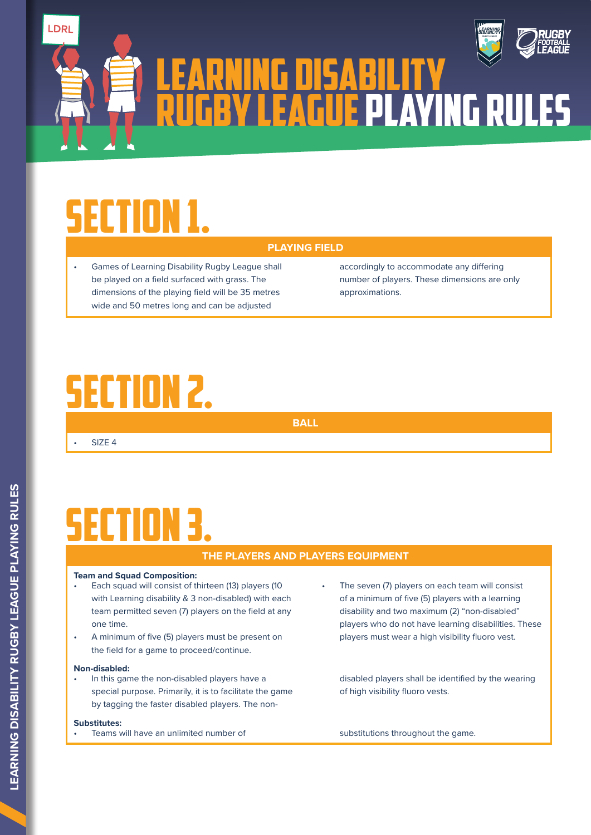

# SECTION 1.

םח ו

• Games of Learning Disability Rugby League shall be played on a field surfaced with grass. The dimensions of the playing field will be 35 metres wide and 50 metres long and can be adjusted

accordingly to accommodate any differing number of players. These dimensions are only approximations.

### SECTION 2.

**BALL**

 $\cdot$  SIZE 4

**PLAYING FIELD**

LEARNING DISABILITY

RUGBY LEAGUE PLAYING RULES

### **SECTION**

### **THE PLAYERS AND PLAYERS EQUIPMENT**

### **Team and Squad Composition:**

- Each squad will consist of thirteen (13) players (10 with Learning disability & 3 non-disabled) with each team permitted seven (7) players on the field at any one time.
- A minimum of five (5) players must be present on the field for a game to proceed/continue.

#### **Non-disabled:**

• In this game the non-disabled players have a special purpose. Primarily, it is to facilitate the game by tagging the faster disabled players. The non-

#### **Substitutes:**

Teams will have an unlimited number of substitutions throughout the game.

The seven (7) players on each team will consist of a minimum of five (5) players with a learning disability and two maximum (2) "non-disabled" players who do not have learning disabilities. These players must wear a high visibility fluoro vest.

disabled players shall be identified by the wearing of high visibility fluoro vests.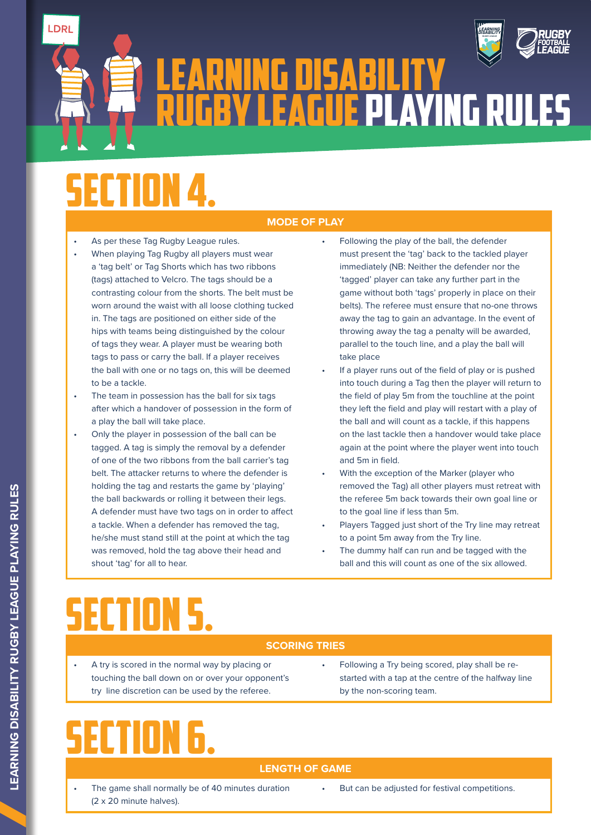

LEARNING DISABILITY RUGBY LEAGUE PLAYING RULES

# **SECTION**

LDRI

### **MODE OF PLAY**

- As per these Tag Rugby League rules.
- When playing Tag Rugby all players must wear a 'tag belt' or Tag Shorts which has two ribbons (tags) attached to Velcro. The tags should be a contrasting colour from the shorts. The belt must be worn around the waist with all loose clothing tucked in. The tags are positioned on either side of the hips with teams being distinguished by the colour of tags they wear. A player must be wearing both tags to pass or carry the ball. If a player receives the ball with one or no tags on, this will be deemed to be a tackle.
- The team in possession has the ball for six tags after which a handover of possession in the form of a play the ball will take place.
- Only the player in possession of the ball can be tagged. A tag is simply the removal by a defender of one of the two ribbons from the ball carrier's tag belt. The attacker returns to where the defender is holding the tag and restarts the game by 'playing' the ball backwards or rolling it between their legs. A defender must have two tags on in order to affect a tackle. When a defender has removed the tag, he/she must stand still at the point at which the tag was removed, hold the tag above their head and shout 'tag' for all to hear.
- Following the play of the ball, the defender must present the 'tag' back to the tackled player immediately (NB: Neither the defender nor the 'tagged' player can take any further part in the game without both 'tags' properly in place on their belts). The referee must ensure that no-one throws away the tag to gain an advantage. In the event of throwing away the tag a penalty will be awarded, parallel to the touch line, and a play the ball will take place
- If a player runs out of the field of play or is pushed into touch during a Tag then the player will return to the field of play 5m from the touchline at the point they left the field and play will restart with a play of the ball and will count as a tackle, if this happens on the last tackle then a handover would take place again at the point where the player went into touch and 5m in field.
- With the exception of the Marker (player who removed the Tag) all other players must retreat with the referee 5m back towards their own goal line or to the goal line if less than 5m.
- Players Tagged just short of the Try line may retreat to a point 5m away from the Try line.
- The dummy half can run and be tagged with the ball and this will count as one of the six allowed.

# SECTION 5.

### **SCORING TRIES**

- A try is scored in the normal way by placing or touching the ball down on or over your opponent's try line discretion can be used by the referee.
- Following a Try being scored, play shall be restarted with a tap at the centre of the halfway line by the non-scoring team.

### SECTION 6.

### **LENGTH OF GAME**

- The game shall normally be of 40 minutes duration (2 x 20 minute halves).
- But can be adjusted for festival competitions.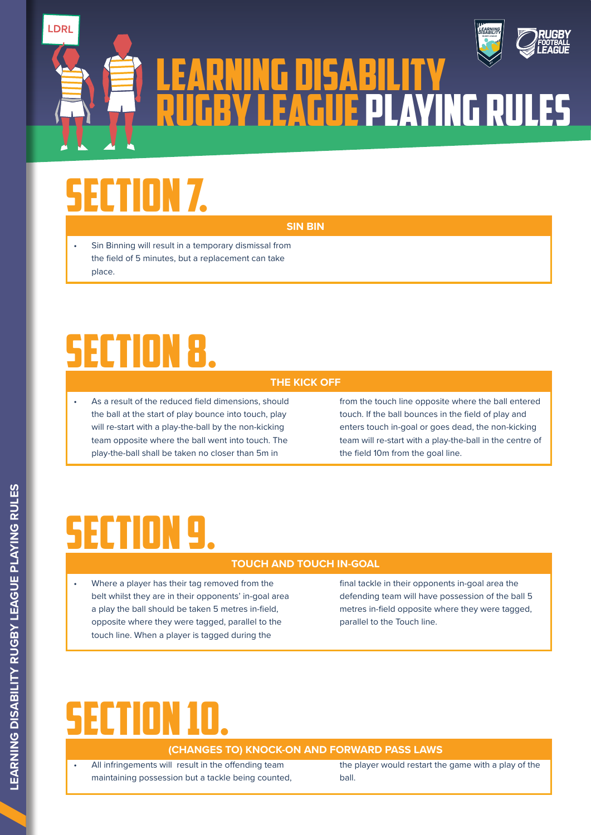

# **ECTION 7.**

LDR

**SIN BIN**

**THE KICK OFF**

LEARNING DISABILITY

RUGBY LEAGUE PLAYING RULES

• Sin Binning will result in a temporary dismissal from the field of 5 minutes, but a replacement can take place.

### SECTION 8.

• As a result of the reduced field dimensions, should the ball at the start of play bounce into touch, play will re-start with a play-the-ball by the non-kicking team opposite where the ball went into touch. The play-the-ball shall be taken no closer than 5m in

from the touch line opposite where the ball entered touch. If the ball bounces in the field of play and enters touch in-goal or goes dead, the non-kicking team will re-start with a play-the-ball in the centre of the field 10m from the goal line.

### SECTION

### **TOUCH AND TOUCH IN-GOAL**

• Where a player has their tag removed from the belt whilst they are in their opponents' in-goal area a play the ball should be taken 5 metres in-field, opposite where they were tagged, parallel to the touch line. When a player is tagged during the

final tackle in their opponents in-goal area the defending team will have possession of the ball 5 metres in-field opposite where they were tagged, parallel to the Touch line.

# SECTION 10.

### **(CHANGES TO) KNOCK-ON AND FORWARD PASS LAWS**

• All infringements will result in the offending team maintaining possession but a tackle being counted, the player would restart the game with a play of the ball.